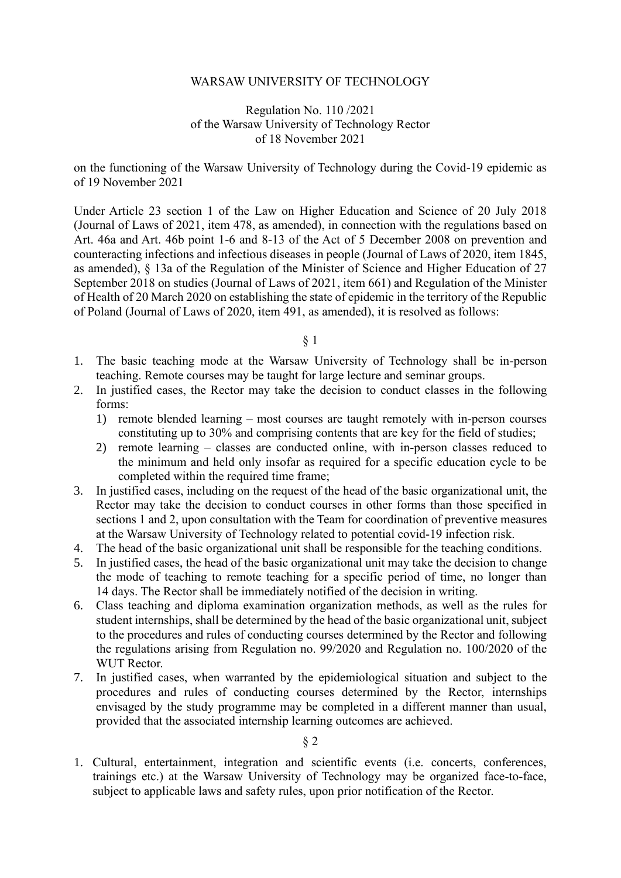#### WARSAW UNIVERSITY OF TECHNOLOGY

#### Regulation No. 110 /2021 of the Warsaw University of Technology Rector of 18 November 2021

on the functioning of the Warsaw University of Technology during the Covid-19 epidemic as of 19 November 2021

Under Article 23 section 1 of the Law on Higher Education and Science of 20 July 2018 (Journal of Laws of 2021, item 478, as amended), in connection with the regulations based on Art. 46a and Art. 46b point 1-6 and 8-13 of the Act of 5 December 2008 on prevention and counteracting infections and infectious diseases in people (Journal of Laws of 2020, item 1845, as amended), § 13a of the Regulation of the Minister of Science and Higher Education of 27 September 2018 on studies (Journal of Laws of 2021, item 661) and Regulation of the Minister of Health of 20 March 2020 on establishing the state of epidemic in the territory of the Republic of Poland (Journal of Laws of 2020, item 491, as amended), it is resolved as follows:

§ 1

- 1. The basic teaching mode at the Warsaw University of Technology shall be in-person teaching. Remote courses may be taught for large lecture and seminar groups.
- 2. In justified cases, the Rector may take the decision to conduct classes in the following forms:
	- 1) remote blended learning most courses are taught remotely with in-person courses constituting up to 30% and comprising contents that are key for the field of studies;
	- 2) remote learning classes are conducted online, with in-person classes reduced to the minimum and held only insofar as required for a specific education cycle to be completed within the required time frame;
- 3. In justified cases, including on the request of the head of the basic organizational unit, the Rector may take the decision to conduct courses in other forms than those specified in sections 1 and 2, upon consultation with the Team for coordination of preventive measures at the Warsaw University of Technology related to potential covid-19 infection risk.
- 4. The head of the basic organizational unit shall be responsible for the teaching conditions.
- 5. In justified cases, the head of the basic organizational unit may take the decision to change the mode of teaching to remote teaching for a specific period of time, no longer than 14 days. The Rector shall be immediately notified of the decision in writing.
- 6. Class teaching and diploma examination organization methods, as well as the rules for student internships, shall be determined by the head of the basic organizational unit, subject to the procedures and rules of conducting courses determined by the Rector and following the regulations arising from Regulation no. 99/2020 and Regulation no. 100/2020 of the WUT Rector.
- 7. In justified cases, when warranted by the epidemiological situation and subject to the procedures and rules of conducting courses determined by the Rector, internships envisaged by the study programme may be completed in a different manner than usual, provided that the associated internship learning outcomes are achieved.

#### § 2

1. Cultural, entertainment, integration and scientific events (i.e. concerts, conferences, trainings etc.) at the Warsaw University of Technology may be organized face-to-face, subject to applicable laws and safety rules, upon prior notification of the Rector.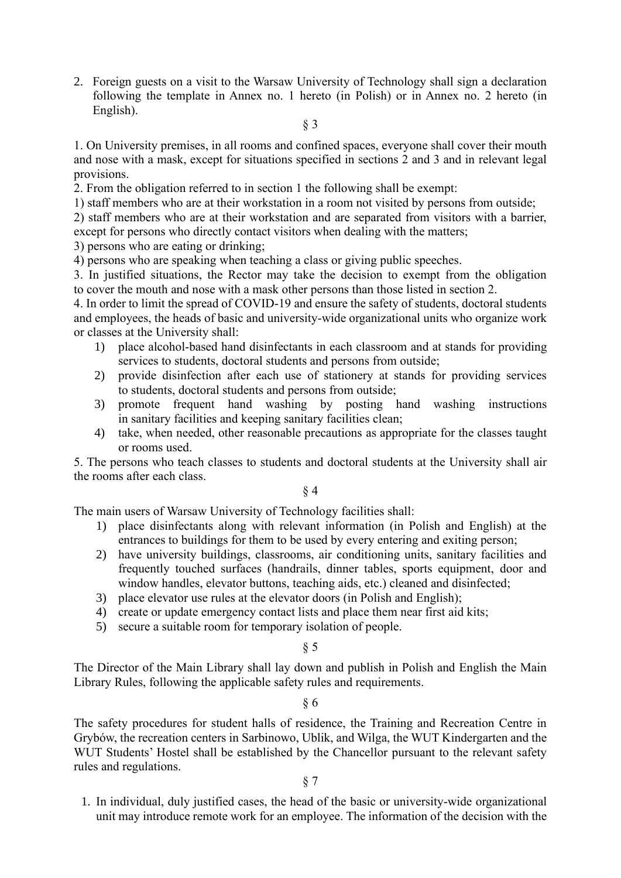2. Foreign guests on a visit to the Warsaw University of Technology shall sign a declaration following the template in Annex no. 1 hereto (in Polish) or in Annex no. 2 hereto (in English).

#### § 3

1. On University premises, in all rooms and confined spaces, everyone shall cover their mouth and nose with a mask, except for situations specified in sections 2 and 3 and in relevant legal provisions.

2. From the obligation referred to in section 1 the following shall be exempt:

1) staff members who are at their workstation in a room not visited by persons from outside;

2) staff members who are at their workstation and are separated from visitors with a barrier, except for persons who directly contact visitors when dealing with the matters;

3) persons who are eating or drinking;

4) persons who are speaking when teaching a class or giving public speeches.

3. In justified situations, the Rector may take the decision to exempt from the obligation to cover the mouth and nose with a mask other persons than those listed in section 2.

4. In order to limit the spread of COVID-19 and ensure the safety of students, doctoral students and employees, the heads of basic and university-wide organizational units who organize work or classes at the University shall:

- 1) place alcohol-based hand disinfectants in each classroom and at stands for providing services to students, doctoral students and persons from outside;
- 2) provide disinfection after each use of stationery at stands for providing services to students, doctoral students and persons from outside;
- 3) promote frequent hand washing by posting hand washing instructions in sanitary facilities and keeping sanitary facilities clean;
- 4) take, when needed, other reasonable precautions as appropriate for the classes taught or rooms used.

5. The persons who teach classes to students and doctoral students at the University shall air the rooms after each class.

### § 4

The main users of Warsaw University of Technology facilities shall:

- 1) place disinfectants along with relevant information (in Polish and English) at the entrances to buildings for them to be used by every entering and exiting person;
- 2) have university buildings, classrooms, air conditioning units, sanitary facilities and frequently touched surfaces (handrails, dinner tables, sports equipment, door and window handles, elevator buttons, teaching aids, etc.) cleaned and disinfected;
- 3) place elevator use rules at the elevator doors (in Polish and English);
- 4) create or update emergency contact lists and place them near first aid kits;
- 5) secure a suitable room for temporary isolation of people.

#### § 5

The Director of the Main Library shall lay down and publish in Polish and English the Main Library Rules, following the applicable safety rules and requirements.

#### § 6

The safety procedures for student halls of residence, the Training and Recreation Centre in Grybów, the recreation centers in Sarbinowo, Ublik, and Wilga, the WUT Kindergarten and the WUT Students' Hostel shall be established by the Chancellor pursuant to the relevant safety rules and regulations.

#### § 7

1. In individual, duly justified cases, the head of the basic or university-wide organizational unit may introduce remote work for an employee. The information of the decision with the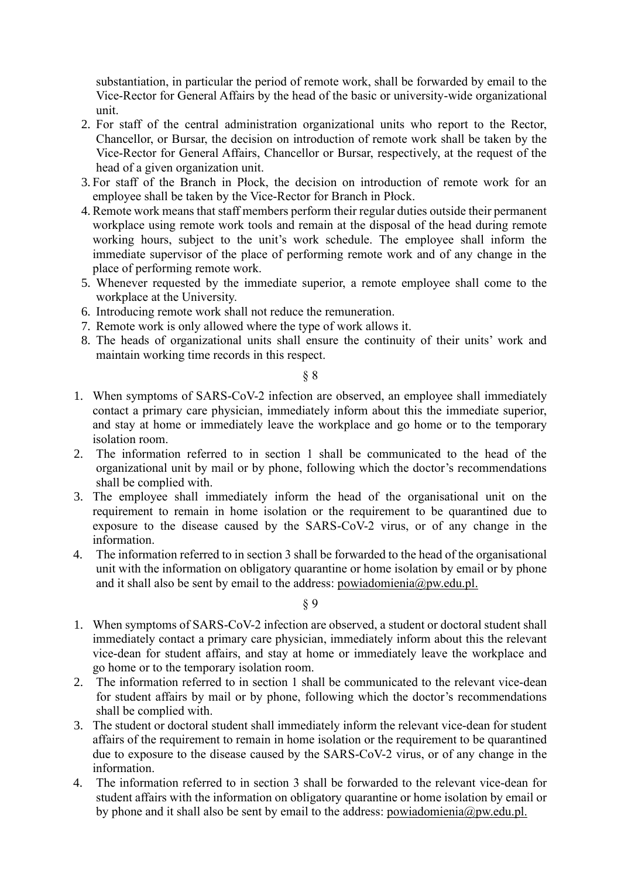substantiation, in particular the period of remote work, shall be forwarded by email to the Vice-Rector for General Affairs by the head of the basic or university-wide organizational unit.

- 2. For staff of the central administration organizational units who report to the Rector, Chancellor, or Bursar, the decision on introduction of remote work shall be taken by the Vice-Rector for General Affairs, Chancellor or Bursar, respectively, at the request of the head of a given organization unit.
- 3. For staff of the Branch in Płock, the decision on introduction of remote work for an employee shall be taken by the Vice-Rector for Branch in Płock.
- 4.Remote work means that staff members perform their regular duties outside their permanent workplace using remote work tools and remain at the disposal of the head during remote working hours, subject to the unit's work schedule. The employee shall inform the immediate supervisor of the place of performing remote work and of any change in the place of performing remote work.
- 5. Whenever requested by the immediate superior, a remote employee shall come to the workplace at the University.
- 6. Introducing remote work shall not reduce the remuneration.
- 7. Remote work is only allowed where the type of work allows it.
- 8. The heads of organizational units shall ensure the continuity of their units' work and maintain working time records in this respect.

#### § 8

- 1. When symptoms of SARS-CoV-2 infection are observed, an employee shall immediately contact a primary care physician, immediately inform about this the immediate superior, and stay at home or immediately leave the workplace and go home or to the temporary isolation room.
- 2. The information referred to in section 1 shall be communicated to the head of the organizational unit by mail or by phone, following which the doctor's recommendations shall be complied with.
- 3. The employee shall immediately inform the head of the organisational unit on the requirement to remain in home isolation or the requirement to be quarantined due to exposure to the disease caused by the SARS-CoV-2 virus, or of any change in the information.
- 4. The information referred to in section 3 shall be forwarded to the head of the organisational unit with the information on obligatory quarantine or home isolation by email or by phone and it shall also be sent by email to the address: powiadomienia@pw.edu.pl.

§ 9

- 1. When symptoms of SARS-CoV-2 infection are observed, a student or doctoral student shall immediately contact a primary care physician, immediately inform about this the relevant vice-dean for student affairs, and stay at home or immediately leave the workplace and go home or to the temporary isolation room.
- 2. The information referred to in section 1 shall be communicated to the relevant vice-dean for student affairs by mail or by phone, following which the doctor's recommendations shall be complied with.
- 3. The student or doctoral student shall immediately inform the relevant vice-dean for student affairs of the requirement to remain in home isolation or the requirement to be quarantined due to exposure to the disease caused by the SARS-CoV-2 virus, or of any change in the information.
- 4. The information referred to in section 3 shall be forwarded to the relevant vice-dean for student affairs with the information on obligatory quarantine or home isolation by email or by phone and it shall also be sent by email to the address: powiadomienia@pw.edu.pl.